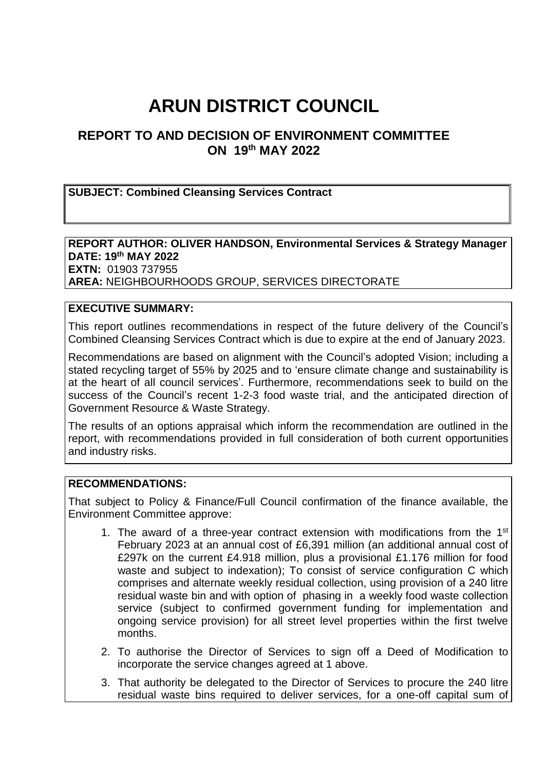# **ARUN DISTRICT COUNCIL**

# **REPORT TO AND DECISION OF ENVIRONMENT COMMITTEE ON 19th MAY 2022**

#### **SUBJECT: Combined Cleansing Services Contract**

#### **REPORT AUTHOR: OLIVER HANDSON, Environmental Services & Strategy Manager DATE: 19th MAY 2022 EXTN:** 01903 737955

**AREA:** NEIGHBOURHOODS GROUP, SERVICES DIRECTORATE

## **EXECUTIVE SUMMARY:**

This report outlines recommendations in respect of the future delivery of the Council's Combined Cleansing Services Contract which is due to expire at the end of January 2023.

Recommendations are based on alignment with the Council's adopted Vision; including a stated recycling target of 55% by 2025 and to 'ensure climate change and sustainability is at the heart of all council services'. Furthermore, recommendations seek to build on the success of the Council's recent 1-2-3 food waste trial, and the anticipated direction of Government Resource & Waste Strategy.

The results of an options appraisal which inform the recommendation are outlined in the report, with recommendations provided in full consideration of both current opportunities and industry risks.

#### **RECOMMENDATIONS:**

That subject to Policy & Finance/Full Council confirmation of the finance available, the Environment Committee approve:

- 1. The award of a three-year contract extension with modifications from the 1<sup>st</sup> February 2023 at an annual cost of £6,391 million (an additional annual cost of £297k on the current £4.918 million, plus a provisional £1.176 million for food waste and subject to indexation); To consist of service configuration C which comprises and alternate weekly residual collection, using provision of a 240 litre residual waste bin and with option of phasing in a weekly food waste collection service (subject to confirmed government funding for implementation and ongoing service provision) for all street level properties within the first twelve months.
- 2. To authorise the Director of Services to sign off a Deed of Modification to incorporate the service changes agreed at 1 above.
- 3. That authority be delegated to the Director of Services to procure the 240 litre residual waste bins required to deliver services, for a one-off capital sum of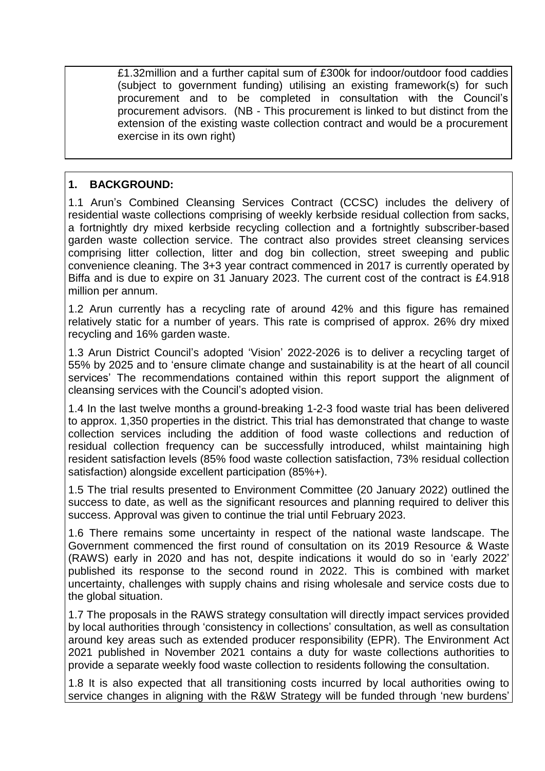£1.32million and a further capital sum of £300k for indoor/outdoor food caddies (subject to government funding) utilising an existing framework(s) for such procurement and to be completed in consultation with the Council's procurement advisors. (NB - This procurement is linked to but distinct from the extension of the existing waste collection contract and would be a procurement exercise in its own right)

#### **1. BACKGROUND:**

1.1 Arun's Combined Cleansing Services Contract (CCSC) includes the delivery of residential waste collections comprising of weekly kerbside residual collection from sacks, a fortnightly dry mixed kerbside recycling collection and a fortnightly subscriber-based garden waste collection service. The contract also provides street cleansing services comprising litter collection, litter and dog bin collection, street sweeping and public convenience cleaning. The 3+3 year contract commenced in 2017 is currently operated by Biffa and is due to expire on 31 January 2023. The current cost of the contract is £4.918 million per annum.

1.2 Arun currently has a recycling rate of around 42% and this figure has remained relatively static for a number of years. This rate is comprised of approx. 26% dry mixed recycling and 16% garden waste.

1.3 Arun District Council's adopted 'Vision' 2022-2026 is to deliver a recycling target of 55% by 2025 and to 'ensure climate change and sustainability is at the heart of all council services' The recommendations contained within this report support the alignment of cleansing services with the Council's adopted vision.

1.4 In the last twelve months a ground-breaking 1-2-3 food waste trial has been delivered to approx. 1,350 properties in the district. This trial has demonstrated that change to waste collection services including the addition of food waste collections and reduction of residual collection frequency can be successfully introduced, whilst maintaining high resident satisfaction levels (85% food waste collection satisfaction, 73% residual collection satisfaction) alongside excellent participation (85%+).

1.5 The trial results presented to Environment Committee (20 January 2022) outlined the success to date, as well as the significant resources and planning required to deliver this success. Approval was given to continue the trial until February 2023.

1.6 There remains some uncertainty in respect of the national waste landscape. The Government commenced the first round of consultation on its 2019 Resource & Waste (RAWS) early in 2020 and has not, despite indications it would do so in 'early 2022' published its response to the second round in 2022. This is combined with market uncertainty, challenges with supply chains and rising wholesale and service costs due to the global situation.

1.7 The proposals in the RAWS strategy consultation will directly impact services provided by local authorities through 'consistency in collections' consultation, as well as consultation around key areas such as extended producer responsibility (EPR). The Environment Act 2021 published in November 2021 contains a duty for waste collections authorities to provide a separate weekly food waste collection to residents following the consultation.

1.8 It is also expected that all transitioning costs incurred by local authorities owing to service changes in aligning with the R&W Strategy will be funded through 'new burdens'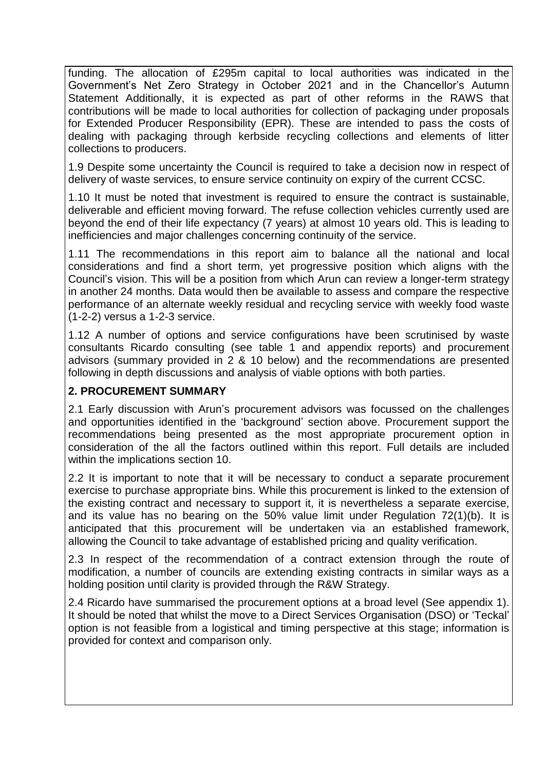funding. The allocation of £295m capital to local authorities was indicated in the Government's Net Zero Strategy in October 2021 and in the Chancellor's Autumn Statement Additionally, it is expected as part of other reforms in the RAWS that contributions will be made to local authorities for collection of packaging under proposals for Extended Producer Responsibility (EPR). These are intended to pass the costs of dealing with packaging through kerbside recycling collections and elements of litter collections to producers.

1.9 Despite some uncertainty the Council is required to take a decision now in respect of delivery of waste services, to ensure service continuity on expiry of the current CCSC.

1.10 It must be noted that investment is required to ensure the contract is sustainable, deliverable and efficient moving forward. The refuse collection vehicles currently used are beyond the end of their life expectancy (7 years) at almost 10 years old. This is leading to inefficiencies and major challenges concerning continuity of the service.

1.11 The recommendations in this report aim to balance all the national and local considerations and find a short term, yet progressive position which aligns with the Council's vision. This will be a position from which Arun can review a longer-term strategy in another 24 months. Data would then be available to assess and compare the respective performance of an alternate weekly residual and recycling service with weekly food waste (1-2-2) versus a 1-2-3 service.

1.12 A number of options and service configurations have been scrutinised by waste consultants Ricardo consulting (see table 1 and appendix reports) and procurement advisors (summary provided in 2 & 10 below) and the recommendations are presented following in depth discussions and analysis of viable options with both parties.

#### **2. PROCUREMENT SUMMARY**

2.1 Early discussion with Arun's procurement advisors was focussed on the challenges and opportunities identified in the 'background' section above. Procurement support the recommendations being presented as the most appropriate procurement option in consideration of the all the factors outlined within this report. Full details are included within the implications section 10.

2.2 It is important to note that it will be necessary to conduct a separate procurement exercise to purchase appropriate bins. While this procurement is linked to the extension of the existing contract and necessary to support it, it is nevertheless a separate exercise, and its value has no bearing on the 50% value limit under Regulation 72(1)(b). It is anticipated that this procurement will be undertaken via an established framework, allowing the Council to take advantage of established pricing and quality verification.

2.3 In respect of the recommendation of a contract extension through the route of modification, a number of councils are extending existing contracts in similar ways as a holding position until clarity is provided through the R&W Strategy.

2.4 Ricardo have summarised the procurement options at a broad level (See appendix 1). It should be noted that whilst the move to a Direct Services Organisation (DSO) or 'Teckal' option is not feasible from a logistical and timing perspective at this stage; information is provided for context and comparison only.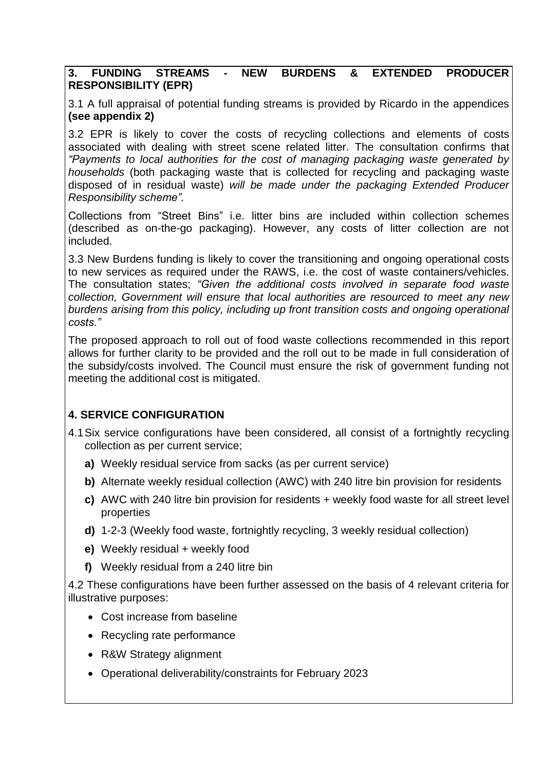#### **3. FUNDING STREAMS - NEW BURDENS & EXTENDED PRODUCER RESPONSIBILITY (EPR)**

3.1 A full appraisal of potential funding streams is provided by Ricardo in the appendices **(see appendix 2)**

3.2 EPR is likely to cover the costs of recycling collections and elements of costs associated with dealing with street scene related litter. The consultation confirms that *"Payments to local authorities for the cost of managing packaging waste generated by households* (both packaging waste that is collected for recycling and packaging waste disposed of in residual waste) *will be made under the packaging Extended Producer Responsibility scheme".*

Collections from "Street Bins" i.e. litter bins are included within collection schemes (described as on-the-go packaging). However, any costs of litter collection are not included.

3.3 New Burdens funding is likely to cover the transitioning and ongoing operational costs to new services as required under the RAWS, i.e. the cost of waste containers/vehicles. The consultation states; *"Given the additional costs involved in separate food waste collection, Government will ensure that local authorities are resourced to meet any new burdens arising from this policy, including up front transition costs and ongoing operational costs."*

The proposed approach to roll out of food waste collections recommended in this report allows for further clarity to be provided and the roll out to be made in full consideration of the subsidy/costs involved. The Council must ensure the risk of government funding not meeting the additional cost is mitigated.

## **4. SERVICE CONFIGURATION**

- 4.1Six service configurations have been considered, all consist of a fortnightly recycling collection as per current service;
	- **a)** Weekly residual service from sacks (as per current service)
	- **b)** Alternate weekly residual collection (AWC) with 240 litre bin provision for residents
	- **c)** AWC with 240 litre bin provision for residents + weekly food waste for all street level properties
	- **d)** 1-2-3 (Weekly food waste, fortnightly recycling, 3 weekly residual collection)
	- **e)** Weekly residual + weekly food
	- **f)** Weekly residual from a 240 litre bin

4.2 These configurations have been further assessed on the basis of 4 relevant criteria for illustrative purposes:

- Cost increase from baseline
- Recycling rate performance
- R&W Strategy alignment
- Operational deliverability/constraints for February 2023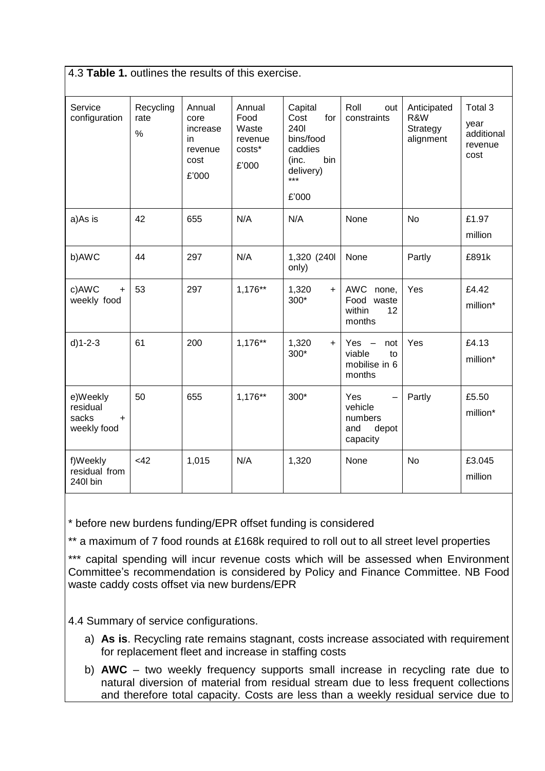| 4.3 Table 1. outlines the results of this exercise. |                           |                                                              |                                                       |                                                                                                     |                                                                                   |                                             |                                                  |  |  |
|-----------------------------------------------------|---------------------------|--------------------------------------------------------------|-------------------------------------------------------|-----------------------------------------------------------------------------------------------------|-----------------------------------------------------------------------------------|---------------------------------------------|--------------------------------------------------|--|--|
| Service<br>configuration                            | Recycling<br>rate<br>$\%$ | Annual<br>core<br>increase<br>in<br>revenue<br>cost<br>£'000 | Annual<br>Food<br>Waste<br>revenue<br>costs*<br>£'000 | Capital<br>Cost<br>for<br>2401<br>bins/food<br>caddies<br>bin<br>(inc.<br>delivery)<br>***<br>£'000 | Roll<br>out<br>constraints                                                        | Anticipated<br>R&W<br>Strategy<br>alignment | Total 3<br>year<br>additional<br>revenue<br>cost |  |  |
| a)As is                                             | 42                        | 655                                                          | N/A                                                   | N/A                                                                                                 | None                                                                              | <b>No</b>                                   | £1.97<br>million                                 |  |  |
| b)AWC                                               | 44                        | 297                                                          | N/A                                                   | 1,320 (240)<br>only)                                                                                | None                                                                              | Partly                                      | £891k                                            |  |  |
| c)AWC<br>$+$<br>weekly food                         | 53                        | 297                                                          | 1,176**                                               | 1,320<br>$+$<br>300*                                                                                | AWC none,<br>Food waste<br>within<br>12<br>months                                 | Yes                                         | £4.42<br>million*                                |  |  |
| $d$ )1-2-3                                          | 61                        | 200                                                          | 1,176**                                               | 1,320<br>$+$<br>300*                                                                                | Yes $-$<br>not<br>viable<br>to<br>mobilise in 6<br>months                         | Yes                                         | £4.13<br>million*                                |  |  |
| e)Weekly<br>residual<br>sacks<br>$+$<br>weekly food | 50                        | 655                                                          | 1,176**                                               | $300*$                                                                                              | Yes<br>$\overline{\phantom{0}}$<br>vehicle<br>numbers<br>and<br>depot<br>capacity | Partly                                      | £5.50<br>million*                                |  |  |
| f)Weekly<br>residual from<br>240l bin               | <42                       | 1,015                                                        | N/A                                                   | 1,320                                                                                               | None                                                                              | No                                          | £3.045<br>million                                |  |  |

\* before new burdens funding/EPR offset funding is considered

\*\* a maximum of 7 food rounds at £168k required to roll out to all street level properties

\*\*\* capital spending will incur revenue costs which will be assessed when Environment Committee's recommendation is considered by Policy and Finance Committee. NB Food waste caddy costs offset via new burdens/EPR

4.4 Summary of service configurations.

- a) **As is**. Recycling rate remains stagnant, costs increase associated with requirement for replacement fleet and increase in staffing costs
- b) **AWC** two weekly frequency supports small increase in recycling rate due to natural diversion of material from residual stream due to less frequent collections and therefore total capacity. Costs are less than a weekly residual service due to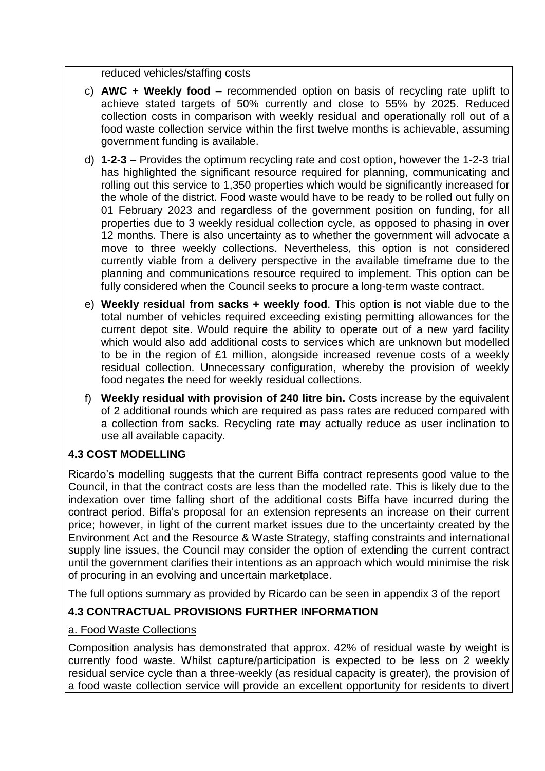reduced vehicles/staffing costs

- c) **AWC + Weekly food** recommended option on basis of recycling rate uplift to achieve stated targets of 50% currently and close to 55% by 2025. Reduced collection costs in comparison with weekly residual and operationally roll out of a food waste collection service within the first twelve months is achievable, assuming government funding is available.
- d) **1-2-3** Provides the optimum recycling rate and cost option, however the 1-2-3 trial has highlighted the significant resource required for planning, communicating and rolling out this service to 1,350 properties which would be significantly increased for the whole of the district. Food waste would have to be ready to be rolled out fully on 01 February 2023 and regardless of the government position on funding, for all properties due to 3 weekly residual collection cycle, as opposed to phasing in over 12 months. There is also uncertainty as to whether the government will advocate a move to three weekly collections. Nevertheless, this option is not considered currently viable from a delivery perspective in the available timeframe due to the planning and communications resource required to implement. This option can be fully considered when the Council seeks to procure a long-term waste contract.
- e) **Weekly residual from sacks + weekly food**. This option is not viable due to the total number of vehicles required exceeding existing permitting allowances for the current depot site. Would require the ability to operate out of a new yard facility which would also add additional costs to services which are unknown but modelled to be in the region of £1 million, alongside increased revenue costs of a weekly residual collection. Unnecessary configuration, whereby the provision of weekly food negates the need for weekly residual collections.
- f) **Weekly residual with provision of 240 litre bin.** Costs increase by the equivalent of 2 additional rounds which are required as pass rates are reduced compared with a collection from sacks. Recycling rate may actually reduce as user inclination to use all available capacity.

## **4.3 COST MODELLING**

Ricardo's modelling suggests that the current Biffa contract represents good value to the Council, in that the contract costs are less than the modelled rate. This is likely due to the indexation over time falling short of the additional costs Biffa have incurred during the contract period. Biffa's proposal for an extension represents an increase on their current price; however, in light of the current market issues due to the uncertainty created by the Environment Act and the Resource & Waste Strategy, staffing constraints and international supply line issues, the Council may consider the option of extending the current contract until the government clarifies their intentions as an approach which would minimise the risk of procuring in an evolving and uncertain marketplace.

The full options summary as provided by Ricardo can be seen in appendix 3 of the report

# **4.3 CONTRACTUAL PROVISIONS FURTHER INFORMATION**

## a. Food Waste Collections

Composition analysis has demonstrated that approx. 42% of residual waste by weight is currently food waste. Whilst capture/participation is expected to be less on 2 weekly residual service cycle than a three-weekly (as residual capacity is greater), the provision of a food waste collection service will provide an excellent opportunity for residents to divert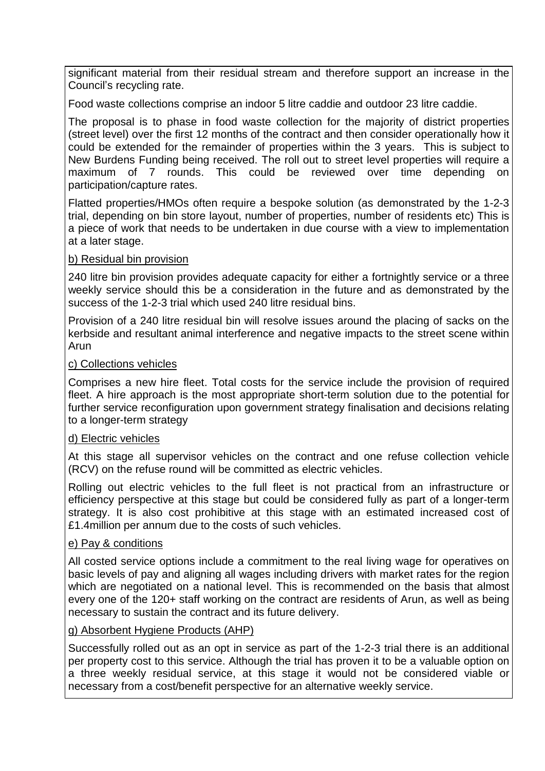significant material from their residual stream and therefore support an increase in the Council's recycling rate.

Food waste collections comprise an indoor 5 litre caddie and outdoor 23 litre caddie.

The proposal is to phase in food waste collection for the majority of district properties (street level) over the first 12 months of the contract and then consider operationally how it could be extended for the remainder of properties within the 3 years. This is subject to New Burdens Funding being received. The roll out to street level properties will require a maximum of 7 rounds. This could be reviewed over time depending on participation/capture rates.

Flatted properties/HMOs often require a bespoke solution (as demonstrated by the 1-2-3 trial, depending on bin store layout, number of properties, number of residents etc) This is a piece of work that needs to be undertaken in due course with a view to implementation at a later stage.

#### b) Residual bin provision

240 litre bin provision provides adequate capacity for either a fortnightly service or a three weekly service should this be a consideration in the future and as demonstrated by the success of the 1-2-3 trial which used 240 litre residual bins.

Provision of a 240 litre residual bin will resolve issues around the placing of sacks on the kerbside and resultant animal interference and negative impacts to the street scene within Arun

#### c) Collections vehicles

Comprises a new hire fleet. Total costs for the service include the provision of required fleet. A hire approach is the most appropriate short-term solution due to the potential for further service reconfiguration upon government strategy finalisation and decisions relating to a longer-term strategy

#### d) Electric vehicles

At this stage all supervisor vehicles on the contract and one refuse collection vehicle (RCV) on the refuse round will be committed as electric vehicles.

Rolling out electric vehicles to the full fleet is not practical from an infrastructure or efficiency perspective at this stage but could be considered fully as part of a longer-term strategy. It is also cost prohibitive at this stage with an estimated increased cost of £1.4million per annum due to the costs of such vehicles.

#### e) Pay & conditions

All costed service options include a commitment to the real living wage for operatives on basic levels of pay and aligning all wages including drivers with market rates for the region which are negotiated on a national level. This is recommended on the basis that almost every one of the 120+ staff working on the contract are residents of Arun, as well as being necessary to sustain the contract and its future delivery.

#### g) Absorbent Hygiene Products (AHP)

Successfully rolled out as an opt in service as part of the 1-2-3 trial there is an additional per property cost to this service. Although the trial has proven it to be a valuable option on a three weekly residual service, at this stage it would not be considered viable or necessary from a cost/benefit perspective for an alternative weekly service.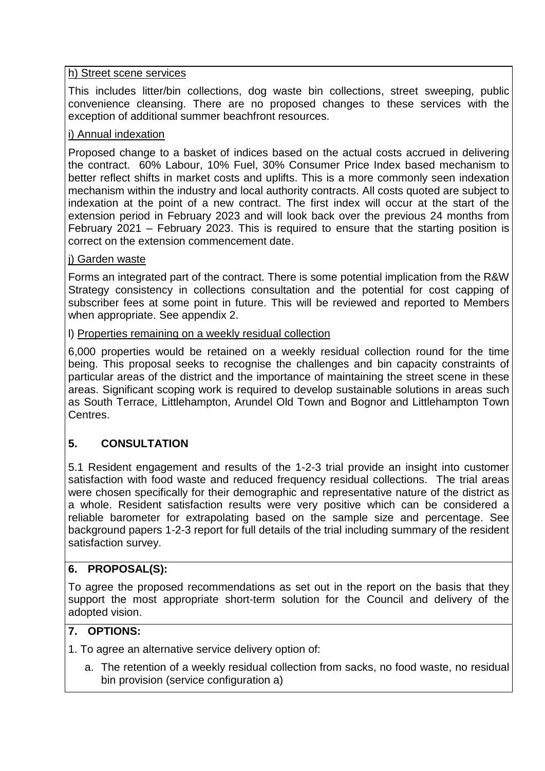#### h) Street scene services

This includes litter/bin collections, dog waste bin collections, street sweeping, public convenience cleansing. There are no proposed changes to these services with the exception of additional summer beachfront resources.

#### i) Annual indexation

Proposed change to a basket of indices based on the actual costs accrued in delivering the contract. 60% Labour, 10% Fuel, 30% Consumer Price Index based mechanism to better reflect shifts in market costs and uplifts. This is a more commonly seen indexation mechanism within the industry and local authority contracts. All costs quoted are subject to indexation at the point of a new contract. The first index will occur at the start of the extension period in February 2023 and will look back over the previous 24 months from February 2021 – February 2023. This is required to ensure that the starting position is correct on the extension commencement date.

#### j) Garden waste

Forms an integrated part of the contract. There is some potential implication from the R&W Strategy consistency in collections consultation and the potential for cost capping of subscriber fees at some point in future. This will be reviewed and reported to Members when appropriate. See appendix 2.

#### l) Properties remaining on a weekly residual collection

6,000 properties would be retained on a weekly residual collection round for the time being. This proposal seeks to recognise the challenges and bin capacity constraints of particular areas of the district and the importance of maintaining the street scene in these areas. Significant scoping work is required to develop sustainable solutions in areas such as South Terrace, Littlehampton, Arundel Old Town and Bognor and Littlehampton Town Centres.

# **5. CONSULTATION**

5.1 Resident engagement and results of the 1-2-3 trial provide an insight into customer satisfaction with food waste and reduced frequency residual collections. The trial areas were chosen specifically for their demographic and representative nature of the district as a whole. Resident satisfaction results were very positive which can be considered a reliable barometer for extrapolating based on the sample size and percentage. See background papers 1-2-3 report for full details of the trial including summary of the resident satisfaction survey.

## **6. PROPOSAL(S):**

To agree the proposed recommendations as set out in the report on the basis that they support the most appropriate short-term solution for the Council and delivery of the adopted vision.

## **7. OPTIONS:**

1. To agree an alternative service delivery option of:

a. The retention of a weekly residual collection from sacks, no food waste, no residual bin provision (service configuration a)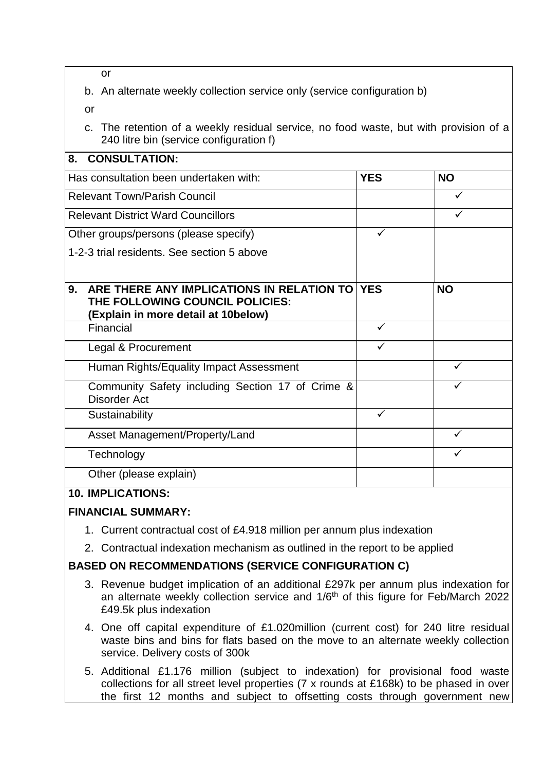or

b. An alternate weekly collection service only (service configuration b)

or

c. The retention of a weekly residual service, no food waste, but with provision of a 240 litre bin (service configuration f)

| <b>CONSULTATION:</b><br>8.                                                                                                    |              |           |
|-------------------------------------------------------------------------------------------------------------------------------|--------------|-----------|
| Has consultation been undertaken with:                                                                                        | <b>YES</b>   | <b>NO</b> |
| <b>Relevant Town/Parish Council</b>                                                                                           |              | ✓         |
| <b>Relevant District Ward Councillors</b>                                                                                     |              |           |
| Other groups/persons (please specify)                                                                                         |              |           |
| 1-2-3 trial residents. See section 5 above                                                                                    |              |           |
|                                                                                                                               |              |           |
| ARE THERE ANY IMPLICATIONS IN RELATION TO YES<br>9.<br>THE FOLLOWING COUNCIL POLICIES:<br>(Explain in more detail at 10below) |              | <b>NO</b> |
| Financial                                                                                                                     | $\checkmark$ |           |
| Legal & Procurement                                                                                                           | ✓            |           |
| Human Rights/Equality Impact Assessment                                                                                       |              | ✓         |
| Community Safety including Section 17 of Crime &<br><b>Disorder Act</b>                                                       |              | ✓         |
| Sustainability                                                                                                                |              |           |
| Asset Management/Property/Land                                                                                                |              |           |
| Technology                                                                                                                    |              | ✓         |
| Other (please explain)                                                                                                        |              |           |

## **10. IMPLICATIONS:**

## **FINANCIAL SUMMARY:**

- 1. Current contractual cost of £4.918 million per annum plus indexation
- 2. Contractual indexation mechanism as outlined in the report to be applied

# **BASED ON RECOMMENDATIONS (SERVICE CONFIGURATION C)**

- 3. Revenue budget implication of an additional £297k per annum plus indexation for an alternate weekly collection service and 1/6<sup>th</sup> of this figure for Feb/March 2022 £49.5k plus indexation
- 4. One off capital expenditure of £1.020million (current cost) for 240 litre residual waste bins and bins for flats based on the move to an alternate weekly collection service. Delivery costs of 300k
- 5. Additional £1.176 million (subject to indexation) for provisional food waste collections for all street level properties (7 x rounds at £168k) to be phased in over the first 12 months and subject to offsetting costs through government new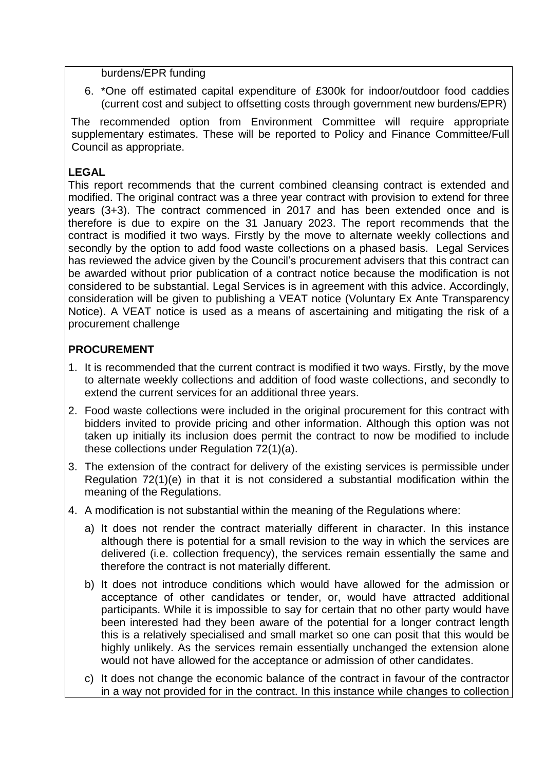burdens/EPR funding

6. \*One off estimated capital expenditure of £300k for indoor/outdoor food caddies (current cost and subject to offsetting costs through government new burdens/EPR)

The recommended option from Environment Committee will require appropriate supplementary estimates. These will be reported to Policy and Finance Committee/Full Council as appropriate.

# **LEGAL**

This report recommends that the current combined cleansing contract is extended and modified. The original contract was a three year contract with provision to extend for three years (3+3). The contract commenced in 2017 and has been extended once and is therefore is due to expire on the 31 January 2023. The report recommends that the contract is modified it two ways. Firstly by the move to alternate weekly collections and secondly by the option to add food waste collections on a phased basis. Legal Services has reviewed the advice given by the Council's procurement advisers that this contract can be awarded without prior publication of a contract notice because the modification is not considered to be substantial. Legal Services is in agreement with this advice. Accordingly, consideration will be given to publishing a VEAT notice (Voluntary Ex Ante Transparency Notice). A VEAT notice is used as a means of ascertaining and mitigating the risk of a procurement challenge

# **PROCUREMENT**

- 1. It is recommended that the current contract is modified it two ways. Firstly, by the move to alternate weekly collections and addition of food waste collections, and secondly to extend the current services for an additional three years.
- 2. Food waste collections were included in the original procurement for this contract with bidders invited to provide pricing and other information. Although this option was not taken up initially its inclusion does permit the contract to now be modified to include these collections under Regulation 72(1)(a).
- 3. The extension of the contract for delivery of the existing services is permissible under Regulation 72(1)(e) in that it is not considered a substantial modification within the meaning of the Regulations.
- 4. A modification is not substantial within the meaning of the Regulations where:
	- a) It does not render the contract materially different in character. In this instance although there is potential for a small revision to the way in which the services are delivered (i.e. collection frequency), the services remain essentially the same and therefore the contract is not materially different.
	- b) It does not introduce conditions which would have allowed for the admission or acceptance of other candidates or tender, or, would have attracted additional participants. While it is impossible to say for certain that no other party would have been interested had they been aware of the potential for a longer contract length this is a relatively specialised and small market so one can posit that this would be highly unlikely. As the services remain essentially unchanged the extension alone would not have allowed for the acceptance or admission of other candidates.
	- c) It does not change the economic balance of the contract in favour of the contractor in a way not provided for in the contract. In this instance while changes to collection